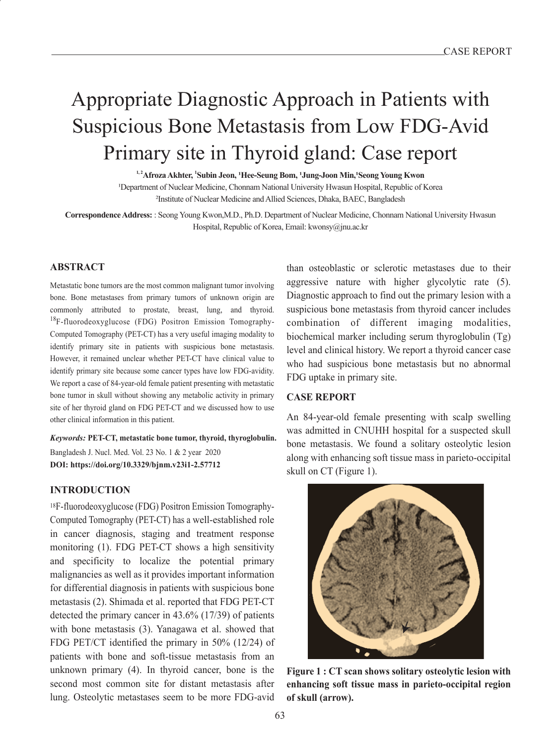# Appropriate Diagnostic Approach in Patients with Suspicious Bone Metastasis from Low FDG-Avid Primary site in Thyroid gland: Case report

**1, 2Afroza Akhter, 1 Subin Jeon, 1Hee-Seung Bom, 1Jung-Joon Min,1Seong Young Kwon** 1Department of Nuclear Medicine, Chonnam National University Hwasun Hospital, Republic of Korea 2Institute of Nuclear Medicine and Allied Sciences, Dhaka, BAEC, Bangladesh

**Correspondence Address:** : Seong Young Kwon,M.D., Ph.D. Department of Nuclear Medicine, Chonnam National University Hwasun Hospital, Republic of Korea, Email: kwonsy@jnu.ac.kr

#### **ABSTRACT**

Metastatic bone tumors are the most common malignant tumor involving bone. Bone metastases from primary tumors of unknown origin are commonly attributed to prostate, breast, lung, and thyroid. <sup>18</sup>F-fluorodeoxyglucose (FDG) Positron Emission Tomography-Computed Tomography (PET-CT) has a very useful imaging modality to identify primary site in patients with suspicious bone metastasis. However, it remained unclear whether PET-CT have clinical value to identify primary site because some cancer types have low FDG-avidity. We report a case of 84-year-old female patient presenting with metastatic bone tumor in skull without showing any metabolic activity in primary site of her thyroid gland on FDG PET-CT and we discussed how to use other clinical information in this patient.

*Keywords:* **PET-CT, metastatic bone tumor, thyroid, thyroglobulin.** Bangladesh J. Nucl. Med. Vol. 23 No. 1 & 2 year 2020 **DOI: https://doi.org/10.3329/bjnm.v23i1-2.57712** 

#### **INTRODUCTION**

18F-fluorodeoxyglucose (FDG) Positron Emission Tomography-Computed Tomography (PET-CT) has a well-established role in cancer diagnosis, staging and treatment response monitoring (1). FDG PET-CT shows a high sensitivity and specificity to localize the potential primary malignancies as well as it provides important information for differential diagnosis in patients with suspicious bone metastasis (2). Shimada et al. reported that FDG PET-CT detected the primary cancer in 43.6% (17/39) of patients with bone metastasis (3). Yanagawa et al. showed that FDG PET/CT identified the primary in 50% (12/24) of patients with bone and soft-tissue metastasis from an unknown primary (4). In thyroid cancer, bone is the second most common site for distant metastasis after lung. Osteolytic metastases seem to be more FDG-avid

than osteoblastic or sclerotic metastases due to their aggressive nature with higher glycolytic rate (5). Diagnostic approach to find out the primary lesion with a suspicious bone metastasis from thyroid cancer includes combination of different imaging modalities, biochemical marker including serum thyroglobulin (Tg) level and clinical history. We report a thyroid cancer case who had suspicious bone metastasis but no abnormal FDG uptake in primary site.

#### **CASE REPORT**

An 84-year-old female presenting with scalp swelling was admitted in CNUHH hospital for a suspected skull bone metastasis. We found a solitary osteolytic lesion along with enhancing soft tissue mass in parieto-occipital skull on CT (Figure 1).



**Figure 1 : CT scan shows solitary osteolytic lesion with enhancing soft tissue mass in parieto-occipital region of skull (arrow).**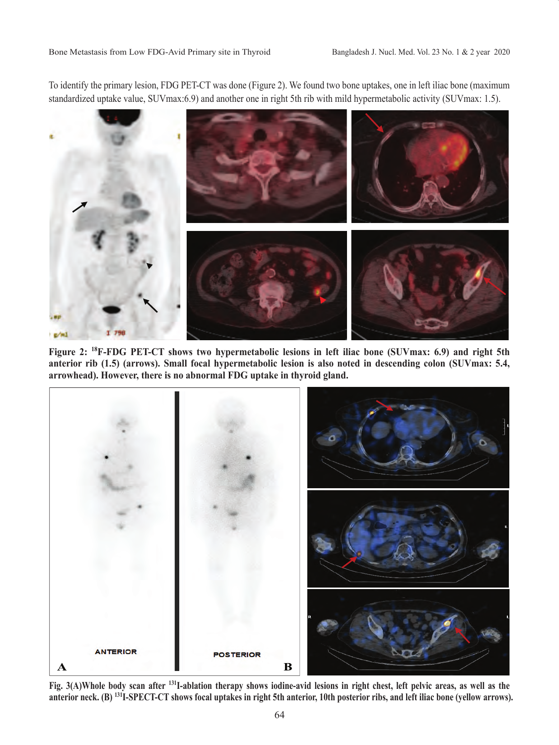To identify the primary lesion, FDG PET-CT was done (Figure 2). We found two bone uptakes, one in left iliac bone (maximum standardized uptake value, SUVmax:6.9) and another one in right 5th rib with mild hypermetabolic activity (SUVmax: 1.5).



**Figure 2: 18F-FDG PET-CT shows two hypermetabolic lesions in left iliac bone (SUVmax: 6.9) and right 5th anterior rib (1.5) (arrows). Small focal hypermetabolic lesion is also noted in descending colon (SUVmax: 5.4, arrowhead). However, there is no abnormal FDG uptake in thyroid gland.**



**Fig. 3(A)Whole body scan after 131I-ablation therapy shows iodine-avid lesions in right chest, left pelvic areas, as well as the anterior neck. (B) 131I-SPECT-CT shows focal uptakes in right 5th anterior, 10th posterior ribs, and left iliac bone (yellow arrows).**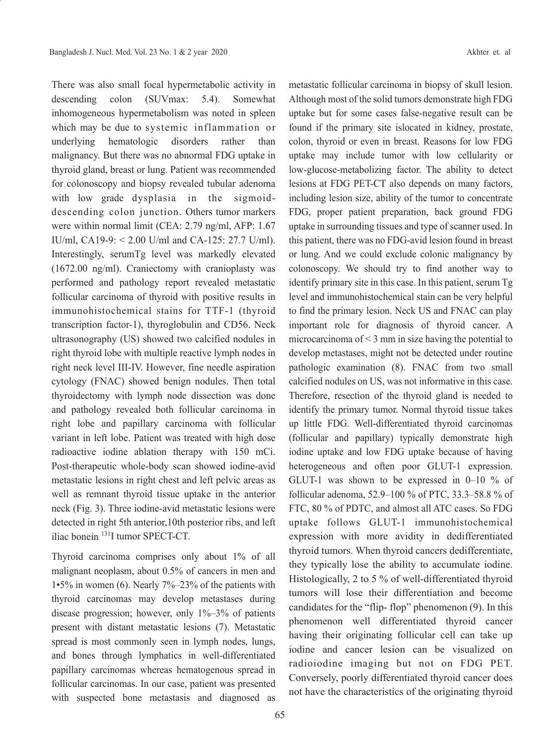There was also small focal hypermetabolic activity in descending colon (SUVmax: 5.4). Somewhat inhomogeneous hypermetabolism was noted in spleen which may be due to systemic inflammation or underlying hematologic disorders rather than malignancy. But there was no abnormal FDG uptake in thyroid gland, breast or lung. Patient was recommended for colonoscopy and biopsy revealed tubular adenoma with low grade dysplasia in the sigmoiddescending colon junction. Others tumor markers were within normal limit (CEA: 2.79 ng/ml, AFP: 1.67 IU/ml, CA19-9: < 2.00 U/ml and CA-125: 27.7 U/ml). Interestingly, serumTg level was markedly elevated (1672.00 ng/ml). Craniectomy with cranioplasty was performed and pathology report revealed metastatic follicular carcinoma of thyroid with positive results in immunohistochemical stains for TTF-1 (thyroid transcription factor-1), thyroglobulin and CD56. Neck ultrasonography (US) showed two calcified nodules in right thyroid lobe with multiple reactive lymph nodes in right neck level III-IV. However, fine needle aspiration cytology (FNAC) showed benign nodules. Then total thyroidectomy with lymph node dissection was done and pathology revealed both follicular carcinoma in right lobe and papillary carcinoma with follicular variant in left lobe. Patient was treated with high dose radioactive iodine ablation therapy with 150 mCi. Post-therapeutic whole-body scan showed iodine-avid metastatic lesions in right chest and left pelvic areas as well as remnant thyroid tissue uptake in the anterior neck (Fig. 3). Three iodine-avid metastatic lesions were detected in right 5th anterior,10th posterior ribs, and left iliac bonein 131I tumor SPECT-CT.

Thyroid carcinoma comprises only about 1% of all malignant neoplasm, about 0.5% of cancers in men and 1•5% in women (6). Nearly 7%–23% of the patients with thyroid carcinomas may develop metastases during disease progression; however, only  $1\% - 3\%$  of patients present with distant metastatic lesions (7). Metastatic spread is most commonly seen in lymph nodes, lungs, and bones through lymphatics in well-differentiated papillary carcinomas whereas hematogenous spread in follicular carcinomas. In our case, patient was presented with suspected bone metastasis and diagnosed as metastatic follicular carcinoma in biopsy of skull lesion. Although most of the solid tumors demonstrate high FDG uptake but for some cases false-negative result can be found if the primary site islocated in kidney, prostate, colon, thyroid or even in breast. Reasons for low FDG uptake may include tumor with low cellularity or low-glucose-metabolizing factor. The ability to detect lesions at FDG PET-CT also depends on many factors, including lesion size, ability of the tumor to concentrate FDG, proper patient preparation, back ground FDG uptake in surrounding tissues and type of scanner used. In this patient, there was no FDG-avid lesion found in breast or lung. And we could exclude colonic malignancy by colonoscopy. We should try to find another way to identify primary site in this case. In this patient, serum Tg level and immunohistochemical stain can be very helpful to find the primary lesion. Neck US and FNAC can play important role for diagnosis of thyroid cancer. A microcarcinoma of  $\leq$  3 mm in size having the potential to develop metastases, might not be detected under routine pathologic examination (8). FNAC from two small calcified nodules on US, was not informative in this case. Therefore, resection of the thyroid gland is needed to identify the primary tumor. Normal thyroid tissue takes up little FDG. Well-differentiated thyroid carcinomas (follicular and papillary) typically demonstrate high iodine uptake and low FDG uptake because of having heterogeneous and often poor GLUT-1 expression. GLUT-1 was shown to be expressed in 0–10 % of follicular adenoma, 52.9–100 % of PTC, 33.3–58.8 % of FTC, 80 % of PDTC, and almost all ATC cases. So FDG uptake follows GLUT-1 immunohistochemical expression with more avidity in dedifferentiated thyroid tumors. When thyroid cancers dedifferentiate, they typically lose the ability to accumulate iodine. Histologically, 2 to 5 % of well-differentiated thyroid tumors will lose their differentiation and become candidates for the "flip- flop" phenomenon (9). In this phenomenon well differentiated thyroid cancer having their originating follicular cell can take up iodine and cancer lesion can be visualized on radioiodine imaging but not on FDG PET. Conversely, poorly differentiated thyroid cancer does not have the characteristics of the originating thyroid